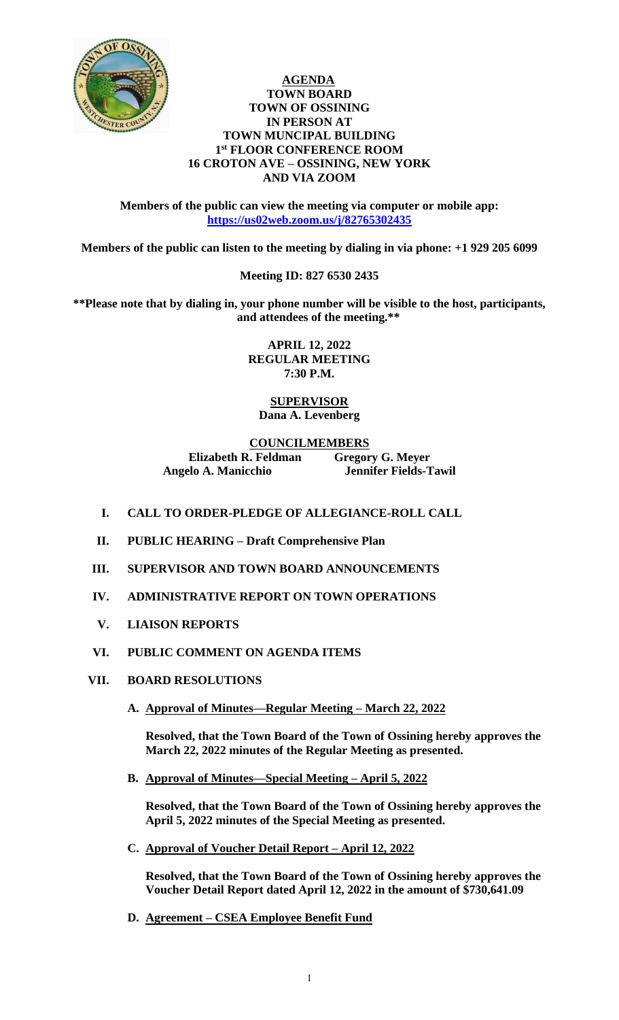

#### **AGENDA TOWN BOARD TOWN OF OSSINING IN PERSON AT TOWN MUNCIPAL BUILDING 1 st FLOOR CONFERENCE ROOM 16 CROTON AVE – OSSINING, NEW YORK AND VIA ZOOM**

**Members of the public can view the meeting via computer or mobile app: <https://us02web.zoom.us/j/82765302435>**

**Members of the public can listen to the meeting by dialing in via phone: +1 929 205 6099** 

## **Meeting ID: 827 6530 2435**

**\*\*Please note that by dialing in, your phone number will be visible to the host, participants, and attendees of the meeting.\*\*** 

> **APRIL 12, 2022 REGULAR MEETING 7:30 P.M.**

## **SUPERVISOR Dana A. Levenberg**

## **COUNCILMEMBERS**

**Elizabeth R. Feldman Gregory G. Meyer Angelo A. Manicchio Jennifer Fields-Tawil**

- **I. CALL TO ORDER-PLEDGE OF ALLEGIANCE-ROLL CALL**
- **II. PUBLIC HEARING – Draft Comprehensive Plan**
- **III. SUPERVISOR AND TOWN BOARD ANNOUNCEMENTS**
- **IV. ADMINISTRATIVE REPORT ON TOWN OPERATIONS**
- **V. LIAISON REPORTS**

## **VI. PUBLIC COMMENT ON AGENDA ITEMS**

- **VII. BOARD RESOLUTIONS**
	- **A. Approval of Minutes—Regular Meeting – March 22, 2022**

**Resolved, that the Town Board of the Town of Ossining hereby approves the March 22, 2022 minutes of the Regular Meeting as presented.**

**B. Approval of Minutes—Special Meeting – April 5, 2022**

**Resolved, that the Town Board of the Town of Ossining hereby approves the April 5, 2022 minutes of the Special Meeting as presented.**

**C. Approval of Voucher Detail Report – April 12, 2022**

**Resolved, that the Town Board of the Town of Ossining hereby approves the Voucher Detail Report dated April 12, 2022 in the amount of \$730,641.09**

**D. Agreement – CSEA Employee Benefit Fund**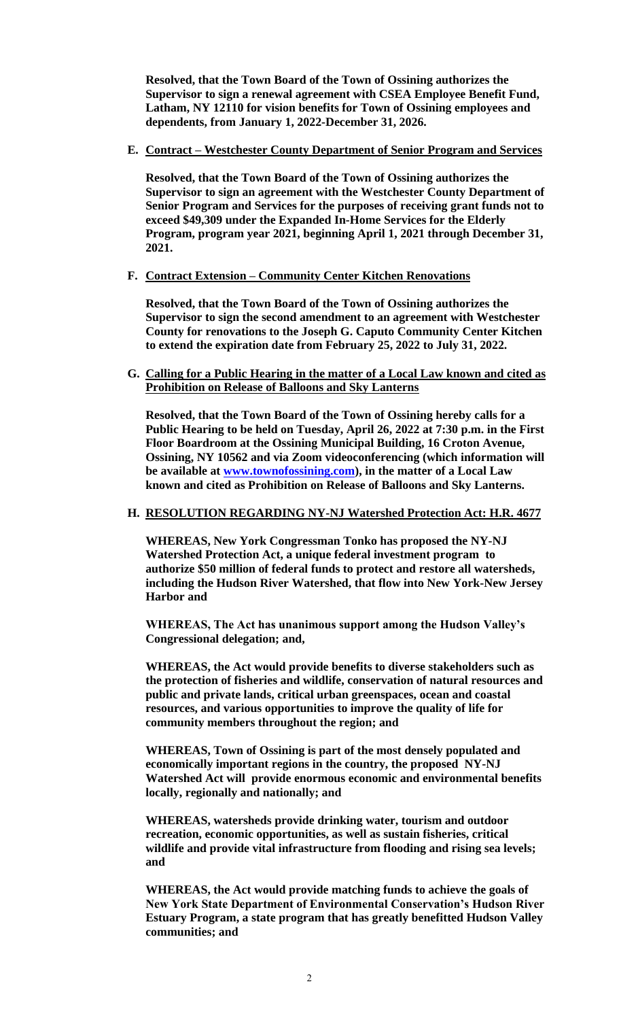**Resolved, that the Town Board of the Town of Ossining authorizes the Supervisor to sign a renewal agreement with CSEA Employee Benefit Fund, Latham, NY 12110 for vision benefits for Town of Ossining employees and dependents, from January 1, 2022-December 31, 2026.** 

## **E. Contract – Westchester County Department of Senior Program and Services**

**Resolved, that the Town Board of the Town of Ossining authorizes the Supervisor to sign an agreement with the Westchester County Department of Senior Program and Services for the purposes of receiving grant funds not to exceed \$49,309 under the Expanded In-Home Services for the Elderly Program, program year 2021, beginning April 1, 2021 through December 31, 2021.** 

#### **F. Contract Extension – Community Center Kitchen Renovations**

**Resolved, that the Town Board of the Town of Ossining authorizes the Supervisor to sign the second amendment to an agreement with Westchester County for renovations to the Joseph G. Caputo Community Center Kitchen to extend the expiration date from February 25, 2022 to July 31, 2022.** 

## **G. Calling for a Public Hearing in the matter of a Local Law known and cited as Prohibition on Release of Balloons and Sky Lanterns**

**Resolved, that the Town Board of the Town of Ossining hereby calls for a Public Hearing to be held on Tuesday, April 26, 2022 at 7:30 p.m. in the First Floor Boardroom at the Ossining Municipal Building, 16 Croton Avenue, Ossining, NY 10562 and via Zoom videoconferencing (which information will be available at [www.townofossining.com\)](http://www.townofossining.com/), in the matter of a Local Law known and cited as Prohibition on Release of Balloons and Sky Lanterns.**

#### **H. RESOLUTION REGARDING NY-NJ Watershed Protection Act: H.R. 4677**

**WHEREAS, New York Congressman Tonko has proposed the NY-NJ Watershed Protection Act, a unique federal investment program to authorize \$50 million of federal funds to protect and restore all watersheds, including the Hudson River Watershed, that flow into New York-New Jersey Harbor and**

**WHEREAS, The Act has unanimous support among the Hudson Valley's Congressional delegation; and,**

**WHEREAS, the Act would provide benefits to diverse stakeholders such as the protection of fisheries and wildlife, conservation of natural resources and public and private lands, critical urban greenspaces, ocean and coastal resources, and various opportunities to improve the quality of life for community members throughout the region; and**

**WHEREAS, Town of Ossining is part of the most densely populated and economically important regions in the country, the proposed NY-NJ Watershed Act will provide enormous economic and environmental benefits locally, regionally and nationally; and**

**WHEREAS, watersheds provide drinking water, tourism and outdoor recreation, economic opportunities, as well as sustain fisheries, critical wildlife and provide vital infrastructure from flooding and rising sea levels; and**

**WHEREAS, the Act would provide matching funds to achieve the goals of New York State Department of Environmental Conservation's Hudson River Estuary Program, a state program that has greatly benefitted Hudson Valley communities; and**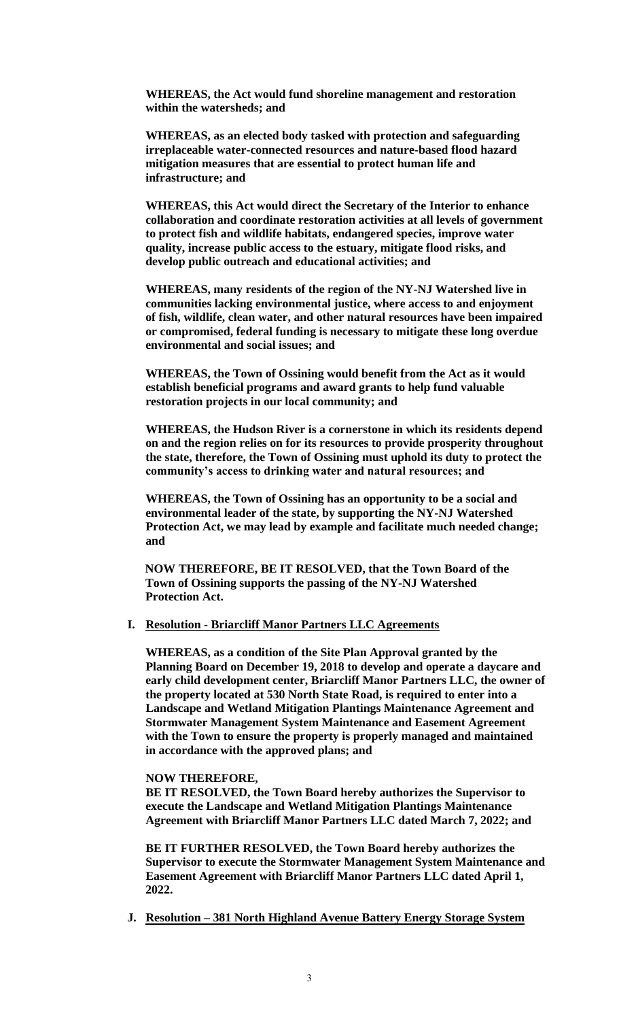**WHEREAS, the Act would fund shoreline management and restoration within the watersheds; and**

**WHEREAS, as an elected body tasked with protection and safeguarding irreplaceable water-connected resources and nature-based flood hazard mitigation measures that are essential to protect human life and infrastructure; and**

**WHEREAS, this Act would direct the Secretary of the Interior to enhance collaboration and coordinate restoration activities at all levels of government to protect fish and wildlife habitats, endangered species, improve water quality, increase public access to the estuary, mitigate flood risks, and develop public outreach and educational activities; and**

**WHEREAS, many residents of the region of the NY-NJ Watershed live in communities lacking environmental justice, where access to and enjoyment of fish, wildlife, clean water, and other natural resources have been impaired or compromised, federal funding is necessary to mitigate these long overdue environmental and social issues; and**

**WHEREAS, the Town of Ossining would benefit from the Act as it would establish beneficial programs and award grants to help fund valuable restoration projects in our local community; and**

**WHEREAS, the Hudson River is a cornerstone in which its residents depend on and the region relies on for its resources to provide prosperity throughout the state, therefore, the Town of Ossining must uphold its duty to protect the community's access to drinking water and natural resources; and**

**WHEREAS, the Town of Ossining has an opportunity to be a social and environmental leader of the state, by supporting the NY-NJ Watershed Protection Act, we may lead by example and facilitate much needed change; and**

**NOW THEREFORE, BE IT RESOLVED, that the Town Board of the Town of Ossining supports the passing of the NY-NJ Watershed Protection Act.**

#### **I. Resolution - Briarcliff Manor Partners LLC Agreements**

**WHEREAS, as a condition of the Site Plan Approval granted by the Planning Board on December 19, 2018 to develop and operate a daycare and early child development center, Briarcliff Manor Partners LLC, the owner of the property located at 530 North State Road, is required to enter into a Landscape and Wetland Mitigation Plantings Maintenance Agreement and Stormwater Management System Maintenance and Easement Agreement with the Town to ensure the property is properly managed and maintained in accordance with the approved plans; and**

#### **NOW THEREFORE,**

**BE IT RESOLVED, the Town Board hereby authorizes the Supervisor to execute the Landscape and Wetland Mitigation Plantings Maintenance Agreement with Briarcliff Manor Partners LLC dated March 7, 2022; and**

**BE IT FURTHER RESOLVED, the Town Board hereby authorizes the Supervisor to execute the Stormwater Management System Maintenance and Easement Agreement with Briarcliff Manor Partners LLC dated April 1, 2022.**

**J. Resolution – 381 North Highland Avenue Battery Energy Storage System**